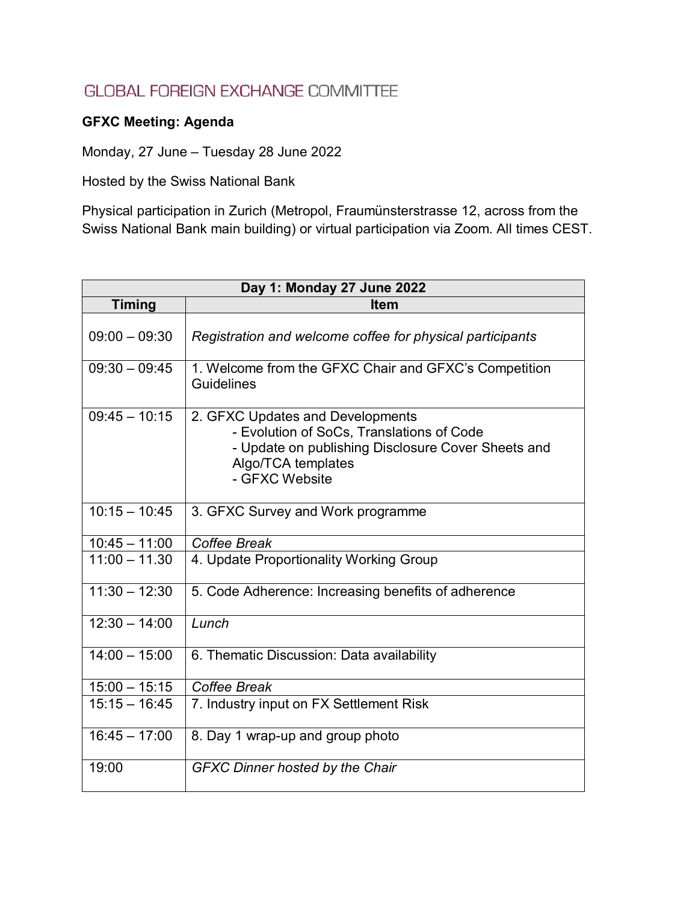## **GLOBAL FOREIGN EXCHANGE COMMITTEE**

## **GFXC Meeting: Agenda**

Monday, 27 June – Tuesday 28 June 2022

Hosted by the Swiss National Bank

Physical participation in Zurich (Metropol, Fraumünsterstrasse 12, across from the Swiss National Bank main building) or virtual participation via Zoom. All times CEST.

| Day 1: Monday 27 June 2022 |                                                                                                                                                                             |
|----------------------------|-----------------------------------------------------------------------------------------------------------------------------------------------------------------------------|
| <b>Timing</b>              | Item                                                                                                                                                                        |
| $09:00 - 09:30$            | Registration and welcome coffee for physical participants                                                                                                                   |
| $09:30 - 09:45$            | 1. Welcome from the GFXC Chair and GFXC's Competition<br>Guidelines                                                                                                         |
| $09:45 - 10:15$            | 2. GFXC Updates and Developments<br>- Evolution of SoCs, Translations of Code<br>- Update on publishing Disclosure Cover Sheets and<br>Algo/TCA templates<br>- GFXC Website |
| $10:15 - 10:45$            | 3. GFXC Survey and Work programme                                                                                                                                           |
| $10:45 - 11:00$            | Coffee Break                                                                                                                                                                |
| $11:00 - 11.30$            | 4. Update Proportionality Working Group                                                                                                                                     |
| $11:30 - 12:30$            | 5. Code Adherence: Increasing benefits of adherence                                                                                                                         |
| $12:30 - 14:00$            | Lunch                                                                                                                                                                       |
| $14:00 - 15:00$            | 6. Thematic Discussion: Data availability                                                                                                                                   |
| $15:00 - 15:15$            | Coffee Break                                                                                                                                                                |
| $15:15 - 16:45$            | 7. Industry input on FX Settlement Risk                                                                                                                                     |
| $16:45 - 17:00$            | 8. Day 1 wrap-up and group photo                                                                                                                                            |
| 19:00                      | <b>GFXC Dinner hosted by the Chair</b>                                                                                                                                      |